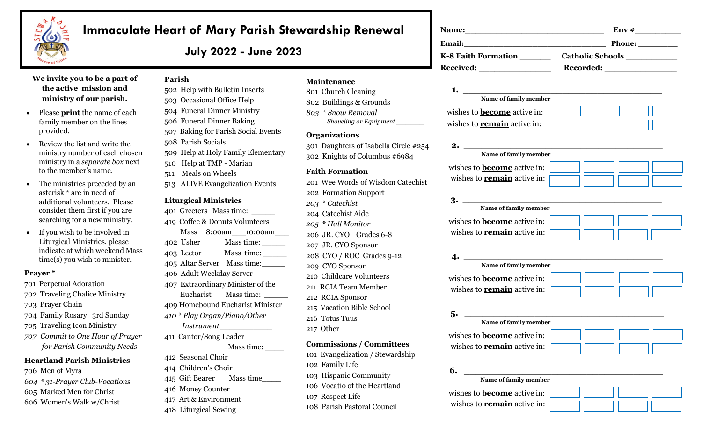

# **Immaculate Heart of Mary Parish Stewardship Renewal**

**July 2022 - June 2023**

# **We invite you to be a part of the active mission and ministry of our parish.**

- Please **print** the name of each family member on the lines provided.
- Review the list and write the ministry number of each chosen ministry in a *separate box* next to the member's name.
- The ministries preceded by an asterisk **\*** are in need of additional volunteers. Please consider them first if you are searching for a new ministry.
- If you wish to be involved in Liturgical Ministries, please indicate at which weekend Mass time(s) you wish to minister.

#### **Prayer \***

- 701 Perpetual Adoration
- 702 Traveling Chalice Ministry
- 703 Prayer Chain
- 704 Family Rosary 3rd Sunday
- 705 Traveling Icon Ministry
- *707 Commit to One Hour of Prayer for Parish Community Needs*

#### **Heartland Parish Ministries**

- 706 Men of Myra
- *604 \* 31-Prayer Club-Vocations*
- 605 Marked Men for Christ
- 606 Women's Walk w/Christ

# **Parish**

- 502 Help with Bulletin Inserts 503 Occasional Office Help 504 Funeral Dinner Ministry 506 Funeral Dinner Baking 507 Baking for Parish Social Events 508 Parish Socials
- 509 Help at Holy Family Elementary
- 510 Help at TMP Marian
- 511 Meals on Wheels
- 513 ALIVE Evangelization Events

#### **Liturgical Ministries**

- 401 Greeters Mass time: \_\_\_\_\_ 419 Coffee & Donuts Volunteers Mass 8:00am\_\_\_10:00am\_\_\_ 402 Usher Mass time: \_\_\_\_\_ 403 Lector Mass time: \_\_\_\_\_ 405 Altar Server Mass time:\_\_\_\_\_ 406 Adult Weekday Server 407 Extraordinary Minister of the
- Eucharist Mass time:
- 409 Homebound Eucharist Minister
- *410 \* Play Organ/Piano/Other*
	- *Instrument \_\_\_\_\_\_\_\_\_\_\_*
- 411 Cantor/Song Leader Mass time: \_\_\_\_
- 412 Seasonal Choir
- 414 Children's Choir
- 415 Gift Bearer Mass time
- 416 Money Counter
- 417 Art & Environment
- 
- 418 Liturgical Sewing

# **Maintenance**

801 Church Cleaning 802 Buildings & Grounds *803 \* Snow Removal Shoveling or Equipment \_\_\_\_\_\_*

#### **Organizations**

301 Daughters of Isabella Circle #254 302 Knights of Columbus #6984

# **Faith Formation**

- 201 Wee Words of Wisdom Catechist 202 Formation Support *203 \* Catechist*  204 Catechist Aide *205 \* Hall Monitor* 206 JR. CYO Grades 6-8 207 JR. CYO Sponsor 208 CYO / ROC Grades 9-12 209 CYO Sponsor 210 Childcare Volunteers 211 RCIA Team Member 212 RCIA Sponsor
- 215 Vacation Bible School
- 216 Totus Tuus
- 217 Other

#### **Commissions / Committees**

- 101 Evangelization / Stewardship
- 102 Family Life
- 103 Hispanic Community
- 106 Vocatio of the Heartland
- 107 Respect Life
- 108 Parish Pastoral Council

|                                                                                                                                                                                                                               | $\mathbf{Env}$ #              |
|-------------------------------------------------------------------------------------------------------------------------------------------------------------------------------------------------------------------------------|-------------------------------|
|                                                                                                                                                                                                                               | Phone:                        |
| K-8 Faith Formation                                                                                                                                                                                                           | Catholic Schools ____________ |
| Received: New York Press, New York Press, New York Press, New York Press, New York Press, New York Press, New York Press, New York Press, New York Press, New York Press, New York Press, New York Press, New York Press, New |                               |
|                                                                                                                                                                                                                               |                               |
| Name of family member                                                                                                                                                                                                         |                               |
| wishes to <b>become</b> active in:                                                                                                                                                                                            |                               |

# **2. \_\_\_\_\_\_\_\_\_\_\_\_\_\_\_\_\_\_\_\_\_\_\_\_\_\_\_\_\_\_\_\_\_\_**

wishes to **remain** active in:

| Name of family member              |  |  |  |
|------------------------------------|--|--|--|
| wishes to <b>become</b> active in: |  |  |  |
| wishes to <b>remain</b> active in: |  |  |  |

| Name of family member              |  |
|------------------------------------|--|
| wishes to <b>become</b> active in: |  |
| wishes to <b>remain</b> active in: |  |
|                                    |  |

# **4. \_\_\_\_\_\_\_\_\_\_\_\_\_\_\_\_\_\_\_\_\_\_\_\_\_\_\_\_\_\_\_\_\_\_ Name of family member**  wishes to **become** active in: wishes to **remain** active in:

**5. \_\_\_\_\_\_\_\_\_\_\_\_\_\_\_\_\_\_\_\_\_\_\_\_\_\_\_\_\_\_\_\_\_\_**

# **Name of family member**

wishes to **become** active in: wishes to **remain** active in:



# **6. \_\_\_\_\_\_\_\_\_\_\_\_\_\_\_\_\_\_\_\_\_\_\_\_\_\_\_\_\_\_\_\_\_\_**

 **Name of family member** 

| wishes to <b>become</b> active in: |  |  |  |  |
|------------------------------------|--|--|--|--|
| wishes to <b>remain</b> active in: |  |  |  |  |